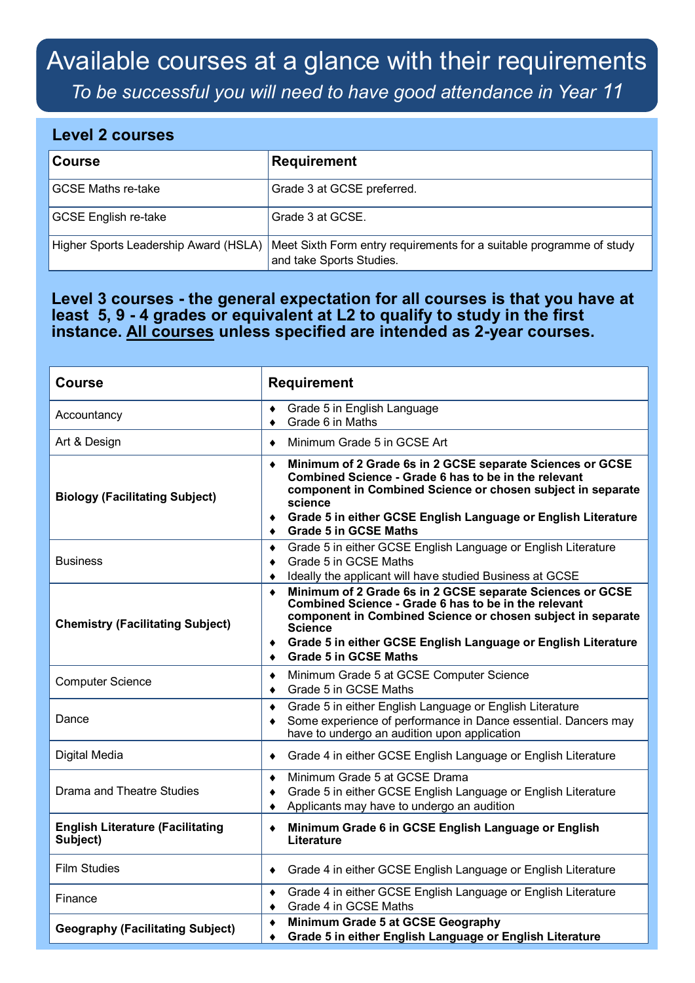## Available courses at a glance with their requirements

*To be successful you will need to have good attendance in Year 11*

## **Level 2 courses**

| <b>Course</b>                         | <b>Requirement</b>                                                                               |
|---------------------------------------|--------------------------------------------------------------------------------------------------|
| <b>GCSE Maths re-take</b>             | Grade 3 at GCSE preferred.                                                                       |
| <b>GCSE English re-take</b>           | Grade 3 at GCSE.                                                                                 |
| Higher Sports Leadership Award (HSLA) | Meet Sixth Form entry requirements for a suitable programme of study<br>and take Sports Studies. |

## **Level 3 courses - the general expectation for all courses is that you have at least 5, 9 - 4 grades or equivalent at L2 to qualify to study in the first instance. All courses unless specified are intended as 2-year courses.**

| <b>Course</b>                                       | <b>Requirement</b>                                                                                                                                                                                                                                                                                                    |
|-----------------------------------------------------|-----------------------------------------------------------------------------------------------------------------------------------------------------------------------------------------------------------------------------------------------------------------------------------------------------------------------|
| Accountancy                                         | Grade 5 in English Language<br>٠<br>Grade 6 in Maths<br>٠                                                                                                                                                                                                                                                             |
| Art & Design                                        | Minimum Grade 5 in GCSE Art<br>$\bullet$                                                                                                                                                                                                                                                                              |
| <b>Biology (Facilitating Subject)</b>               | Minimum of 2 Grade 6s in 2 GCSE separate Sciences or GCSE<br>$\bullet$<br>Combined Science - Grade 6 has to be in the relevant<br>component in Combined Science or chosen subject in separate<br>science<br>Grade 5 in either GCSE English Language or English Literature<br>٠<br><b>Grade 5 in GCSE Maths</b><br>٠   |
| <b>Business</b>                                     | Grade 5 in either GCSE English Language or English Literature<br>٠<br>Grade 5 in GCSE Maths<br>$\bullet$<br>Ideally the applicant will have studied Business at GCSE<br>٠                                                                                                                                             |
| <b>Chemistry (Facilitating Subject)</b>             | Minimum of 2 Grade 6s in 2 GCSE separate Sciences or GCSE<br>$\bullet$<br>Combined Science - Grade 6 has to be in the relevant<br>component in Combined Science or chosen subject in separate<br><b>Science</b><br>Grade 5 in either GCSE English Language or English Literature<br>٠<br><b>Grade 5 in GCSE Maths</b> |
| <b>Computer Science</b>                             | Minimum Grade 5 at GCSE Computer Science<br>$\blacklozenge$<br>Grade 5 in GCSE Maths<br>٠                                                                                                                                                                                                                             |
| Dance                                               | Grade 5 in either English Language or English Literature<br>٠<br>Some experience of performance in Dance essential. Dancers may<br>$\bullet$<br>have to undergo an audition upon application                                                                                                                          |
| Digital Media                                       | Grade 4 in either GCSE English Language or English Literature<br>٠                                                                                                                                                                                                                                                    |
| <b>Drama and Theatre Studies</b>                    | Minimum Grade 5 at GCSE Drama<br>$\bullet$<br>Grade 5 in either GCSE English Language or English Literature<br>$\bullet$<br>Applicants may have to undergo an audition<br>$\bullet$                                                                                                                                   |
| <b>English Literature (Facilitating</b><br>Subject) | Minimum Grade 6 in GCSE English Language or English<br>$\bullet$<br>Literature                                                                                                                                                                                                                                        |
| Film Studies                                        | Grade 4 in either GCSE English Language or English Literature<br>٠                                                                                                                                                                                                                                                    |
| Finance                                             | Grade 4 in either GCSE English Language or English Literature<br>٠<br>Grade 4 in GCSE Maths<br>$\bullet$                                                                                                                                                                                                              |
| <b>Geography (Facilitating Subject)</b>             | Minimum Grade 5 at GCSE Geography<br>$\blacklozenge$<br>Grade 5 in either English Language or English Literature<br>٠                                                                                                                                                                                                 |